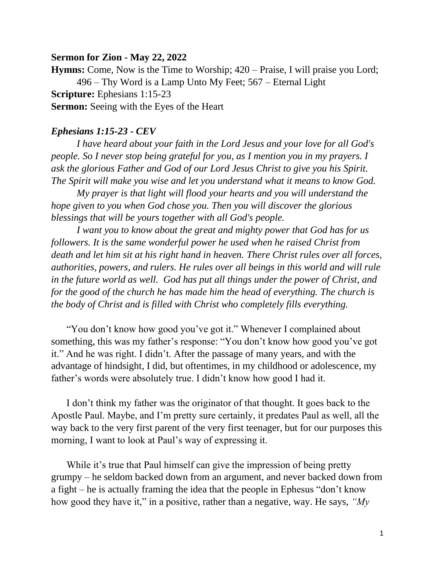## **Sermon for Zion - May 22, 2022**

**Hymns:** Come, Now is the Time to Worship; 420 – Praise, I will praise you Lord; 496 – Thy Word is a Lamp Unto My Feet; 567 – Eternal Light **Scripture:** Ephesians 1:15-23 **Sermon:** Seeing with the Eyes of the Heart

## *Ephesians 1:15-23 - CEV*

*I have heard about your faith in the Lord Jesus and your love for all God's people. So I never stop being grateful for you, as I mention you in my prayers. I ask the glorious Father and God of our Lord Jesus Christ to give you his Spirit. The Spirit will make you wise and let you understand what it means to know God.* 

*My prayer is that light will flood your hearts and you will understand the hope given to you when God chose you. Then you will discover the glorious blessings that will be yours together with all God's people.*

*I want you to know about the great and mighty power that God has for us followers. It is the same wonderful power he used when he raised Christ from death and let him sit at his right hand in heaven. There Christ rules over all forces, authorities, powers, and rulers. He rules over all beings in this world and will rule in the future world as well. God has put all things under the power of Christ, and for the good of the church he has made him the head of everything. The church is the body of Christ and is filled with Christ who completely fills everything.*

"You don't know how good you've got it." Whenever I complained about something, this was my father's response: "You don't know how good you've got it." And he was right. I didn't. After the passage of many years, and with the advantage of hindsight, I did, but oftentimes, in my childhood or adolescence, my father's words were absolutely true. I didn't know how good I had it.

I don't think my father was the originator of that thought. It goes back to the Apostle Paul. Maybe, and I'm pretty sure certainly, it predates Paul as well, all the way back to the very first parent of the very first teenager, but for our purposes this morning, I want to look at Paul's way of expressing it.

While it's true that Paul himself can give the impression of being pretty grumpy – he seldom backed down from an argument, and never backed down from a fight – he is actually framing the idea that the people in Ephesus "don't know how good they have it," in a positive, rather than a negative, way. He says, *"My*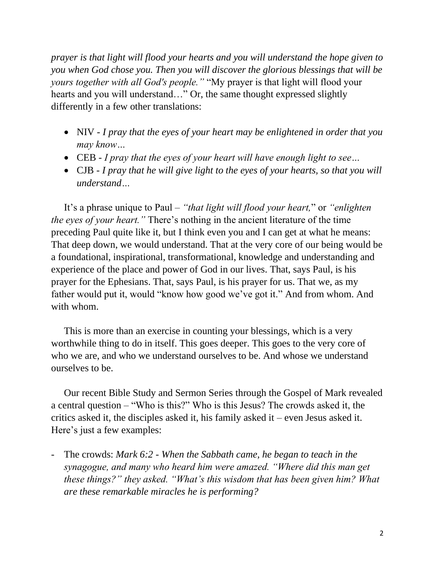*prayer is that light will flood your hearts and you will understand the hope given to you when God chose you. Then you will discover the glorious blessings that will be yours together with all God's people."* "My prayer is that light will flood your hearts and you will understand…" Or, the same thought expressed slightly differently in a few other translations:

- NIV *I pray that the eyes of your heart may be enlightened in order that you may know…*
- CEB *I pray that the eyes of your heart will have enough light to see…*
- CJB *I pray that he will give light to the eyes of your hearts, so that you will understand…*

It's a phrase unique to Paul – *"that light will flood your heart,*" or *"enlighten the eyes of your heart."* There's nothing in the ancient literature of the time preceding Paul quite like it, but I think even you and I can get at what he means: That deep down, we would understand. That at the very core of our being would be a foundational, inspirational, transformational, knowledge and understanding and experience of the place and power of God in our lives. That, says Paul, is his prayer for the Ephesians. That, says Paul, is his prayer for us. That we, as my father would put it, would "know how good we've got it." And from whom. And with whom.

This is more than an exercise in counting your blessings, which is a very worthwhile thing to do in itself. This goes deeper. This goes to the very core of who we are, and who we understand ourselves to be. And whose we understand ourselves to be.

Our recent Bible Study and Sermon Series through the Gospel of Mark revealed a central question – "Who is this?" Who is this Jesus? The crowds asked it, the critics asked it, the disciples asked it, his family asked it – even Jesus asked it. Here's just a few examples:

- The crowds: *Mark 6:2 - When the Sabbath came, he began to teach in the synagogue, and many who heard him were amazed. "Where did this man get these things?" they asked. "What's this wisdom that has been given him? What are these remarkable miracles he is performing?*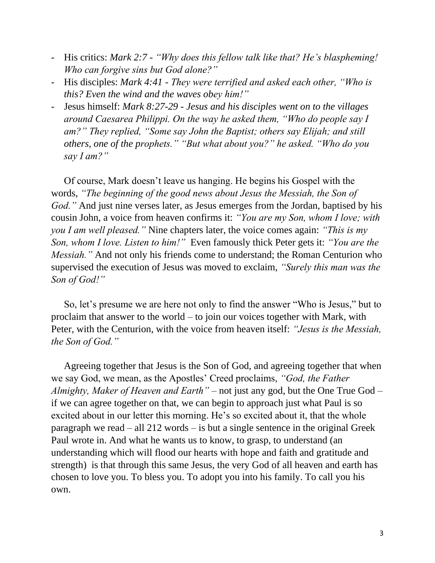- His critics: *Mark 2:7 - "Why does this fellow talk like that? He's blaspheming! Who can forgive sins but God alone?"*
- His disciples: *Mark 4:41 - They were terrified and asked each other, "Who is this? Even the wind and the waves obey him!"*
- Jesus himself: *Mark 8:27-29 - Jesus and his disciples went on to the villages around Caesarea Philippi. On the way he asked them, "Who do people say I am?" They replied, "Some say John the Baptist; others say Elijah; and still others, one of the prophets." "But what about you?" he asked. "Who do you say I am?"*

Of course, Mark doesn't leave us hanging. He begins his Gospel with the words, *"The beginning of the good news about Jesus the Messiah, the Son of God."* And just nine verses later, as Jesus emerges from the Jordan, baptised by his cousin John, a voice from heaven confirms it: *"You are my Son, whom I love; with you I am well pleased."* Nine chapters later, the voice comes again: *"This is my Son, whom I love. Listen to him!"* Even famously thick Peter gets it: *"You are the Messiah.*" And not only his friends come to understand; the Roman Centurion who supervised the execution of Jesus was moved to exclaim, *"Surely this man was the Son of God!"*

So, let's presume we are here not only to find the answer "Who is Jesus," but to proclaim that answer to the world – to join our voices together with Mark, with Peter, with the Centurion, with the voice from heaven itself: *"Jesus is the Messiah, the Son of God."*

Agreeing together that Jesus is the Son of God, and agreeing together that when we say God, we mean, as the Apostles' Creed proclaims, *"God, the Father Almighty, Maker of Heaven and Earth"* – not just any god, but the One True God – if we can agree together on that, we can begin to approach just what Paul is so excited about in our letter this morning. He's so excited about it, that the whole paragraph we read – all 212 words – is but a single sentence in the original Greek Paul wrote in. And what he wants us to know, to grasp, to understand (an understanding which will flood our hearts with hope and faith and gratitude and strength) is that through this same Jesus, the very God of all heaven and earth has chosen to love you. To bless you. To adopt you into his family. To call you his own.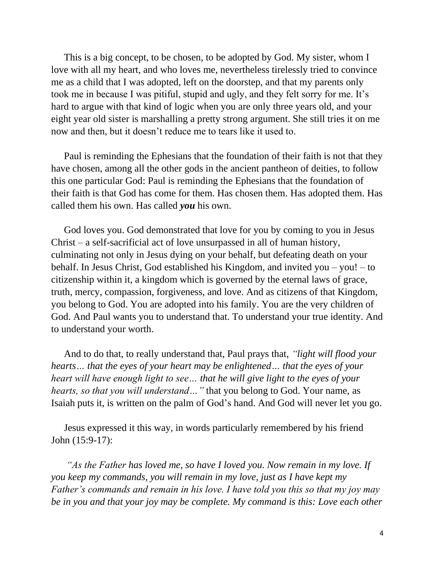This is a big concept, to be chosen, to be adopted by God. My sister, whom I love with all my heart, and who loves me, nevertheless tirelessly tried to convince me as a child that I was adopted, left on the doorstep, and that my parents only took me in because I was pitiful, stupid and ugly, and they felt sorry for me. It's hard to argue with that kind of logic when you are only three years old, and your eight year old sister is marshalling a pretty strong argument. She still tries it on me now and then, but it doesn't reduce me to tears like it used to.

Paul is reminding the Ephesians that the foundation of their faith is not that they have chosen, among all the other gods in the ancient pantheon of deities, to follow this one particular God: Paul is reminding the Ephesians that the foundation of their faith is that God has come for them. Has chosen them. Has adopted them. Has called them his own. Has called *you* his own.

God loves you. God demonstrated that love for you by coming to you in Jesus Christ – a self-sacrificial act of love unsurpassed in all of human history, culminating not only in Jesus dying on your behalf, but defeating death on your behalf. In Jesus Christ, God established his Kingdom, and invited you – you! – to citizenship within it, a kingdom which is governed by the eternal laws of grace, truth, mercy, compassion, forgiveness, and love. And as citizens of that Kingdom, you belong to God. You are adopted into his family. You are the very children of God. And Paul wants you to understand that. To understand your true identity. And to understand your worth.

And to do that, to really understand that, Paul prays that, *"light will flood your hearts… that the eyes of your heart may be enlightened… that the eyes of your heart will have enough light to see… that he will give light to the eyes of your hearts, so that you will understand…"* that you belong to God. Your name, as Isaiah puts it, is written on the palm of God's hand. And God will never let you go.

Jesus expressed it this way, in words particularly remembered by his friend John (15:9-17):

*"As the Father has loved me, so have I loved you. Now remain in my love. If you keep my commands, you will remain in my love, just as I have kept my Father's commands and remain in his love. I have told you this so that my joy may be in you and that your joy may be complete. My command is this: Love each other*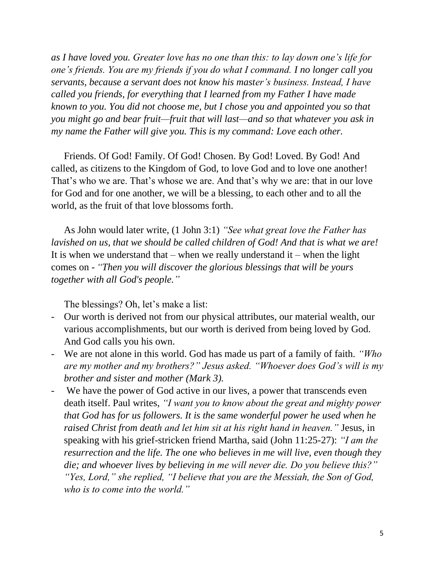*as I have loved you. Greater love has no one than this: to lay down one's life for one's friends. You are my friends if you do what I command. I no longer call you servants, because a servant does not know his master's business. Instead, I have called you friends, for everything that I learned from my Father I have made known to you. You did not choose me, but I chose you and appointed you so that you might go and bear fruit—fruit that will last—and so that whatever you ask in my name the Father will give you. This is my command: Love each other.*

Friends. Of God! Family. Of God! Chosen. By God! Loved. By God! And called, as citizens to the Kingdom of God, to love God and to love one another! That's who we are. That's whose we are. And that's why we are: that in our love for God and for one another, we will be a blessing, to each other and to all the world, as the fruit of that love blossoms forth.

As John would later write, (1 John 3:1) *"See what great love the Father has lavished on us, that we should be called children of God! And that is what we are!* It is when we understand that – when we really understand  $it$  – when the light comes on - *"Then you will discover the glorious blessings that will be yours together with all God's people."*

The blessings? Oh, let's make a list:

- Our worth is derived not from our physical attributes, our material wealth, our various accomplishments, but our worth is derived from being loved by God. And God calls you his own.
- We are not alone in this world. God has made us part of a family of faith. *"Who are my mother and my brothers?" Jesus asked. "Whoever does God's will is my brother and sister and mother (Mark 3).*
- We have the power of God active in our lives, a power that transcends even death itself. Paul writes, *"I want you to know about the great and mighty power that God has for us followers. It is the same wonderful power he used when he raised Christ from death and let him sit at his right hand in heaven."* Jesus, in speaking with his grief-stricken friend Martha, said (John 11:25-27): *"I am the resurrection and the life. The one who believes in me will live, even though they die; and whoever lives by believing in me will never die. Do you believe this?" "Yes, Lord," she replied, "I believe that you are the Messiah, the Son of God, who is to come into the world."*